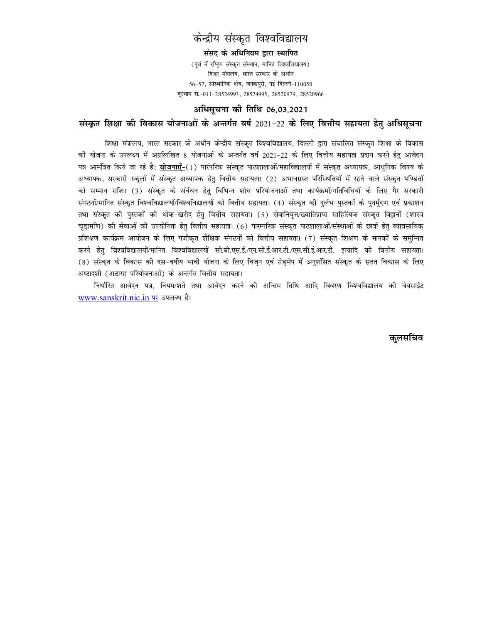# केन्द्रीय संस्कृत विश्वविद्यालय

संसद के अधिनियम द्वारा स्थापित (पूर्व में रष्ट्रिय संस्कृत संस्थान, मानित विश्वविद्यालय) शिक्षा मंत्रालय, भारत सरकार के अधीन  $56-57$ , सांस्थानिक क्षेत्र, जनकपुरी, नई दिल्ली-110058 दूरभाष सं.-011-28524993, 28524995, 28520979, 28520966

#### अधिसचना की तिथि 06.03.2021

## संस्कृत शिक्षा की विकास योजनाओं के अन्तर्गत वर्ष 2021-22 के लिए वित्तीय सहायता हेतु अधिसूचना

शिक्षा मंत्रालय, भारत सरकार के अधीन केन्द्रीय संस्कृत विश्वविद्यालय, दिल्ली द्वारा संचालित संस्कृत शिक्षा के विकास की योजना के उपलक्ष्य में अग्रलिखित 8 योजनाओं के अन्तर्गत वर्ष 2021–22 के लिए वित्तीय सहायता प्रदान करने हेतु आवेदन पत्र आर्मोत्रत किये जा रहे है: <u>योजनाएँ-</u>(1) पारंपरिक संस्कृत पाठशालाओं/महाविद्यालयों में संस्कृत अध्यापक, आधुनिक विषय के अध्यापक, सरकारी स्कूलों में संस्कृत अध्यापक हेतु वित्तीय सहायता। (2) अभावग्रस्त परिस्थितियों में रहने वाले संस्कृत पण्डितों को सम्मान राशि। (3) संस्कृत के संर्वधन हेतु विभिन्न शोध परियोजनाओं तथा कार्यक्रमों/गतिविधियों के लिए गैर सरकारी संगठनों/मानित संस्कृत विश्वविद्यालयों/विश्वविद्यालयों को वित्तीय सहायता। (4) संस्कृत की दुर्लभ पुस्तकों के पुनर्मुदण एवं प्रकाशन तथा संस्कृत की पुस्तकों की थोक–खरीद हेतु वित्तीय सहायता। (5) सेवानिवृत्त/ख्यातिप्राप्त साहित्यिक संस्कृत विद्वानों (शास्त्र चुडामणि) की सेवाओं की उपयोगिता हेतु वित्तीय सहायता। (6) पारम्परिक संस्कृत पाठशालाओं/संस्थाओं के छात्रों हेतु व्यावसायिक प्रशिक्षण कार्यक्रम आयोजन के लिए पंजीकृत शैक्षिक संगठनों को वित्तीय सहायता। (7) संस्कृत शिक्षण के मानकों के समुन्नित करने हेतु विश्वविद्यालयों/मानित विश्वविद्यालयों सी.बी.एस.ई./एन.सी.ई.आर.टी./एस.सी.ई.आर.टी. इत्यादि को वित्तीय सहायता। (8) संस्कृत के विकास की दस-वर्षीय भावी योजना के लिए विजन एवं रोडमेप में अनुशंसित संस्कृत के सतत विकास के लिए अष्टादशी (अठारह परियोजनाओं) के अन्तर्गत वित्तीय सहायता।

निर्धारित आवेदन पत्र, नियम/शर्ते तथा आवेदन करने की अन्तिम तिथि आदि विवरण विश्वविद्यालय की वेबसाईट www.sanskrit.nic.in पर उपलब्ध है।

कुलसचिव